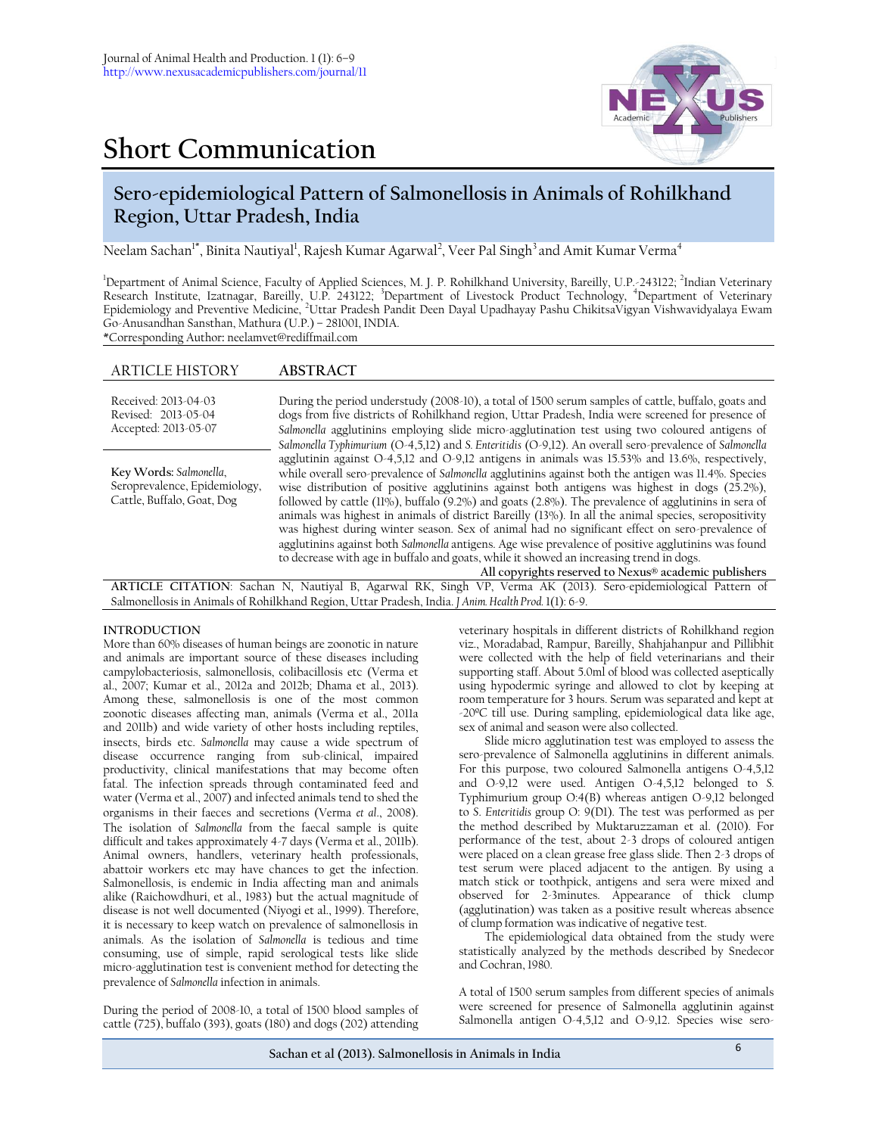# **Short Communication**



# **Sero-epidemiological Pattern of Salmonellosis in Animals of Rohilkhand Region, Uttar Pradesh, India**

Neelam Sachan<sup>1\*</sup>, Binita Nautiyal<sup>1</sup>, Rajesh Kumar Agarwal<sup>2</sup>, Veer Pal Singh<sup>3</sup> and Amit Kumar Verma<sup>4</sup>

<sup>1</sup>Department of Animal Science, Faculty of Applied Sciences, M. J. P. Rohilkhand University, Bareilly, U.P.-243122; <sup>2</sup>Indian Veterinary Research Institute, Izatnagar, Bareilly, U.P. 243122; <sup>3</sup>Department of Livestock Product Technology, <sup>4</sup>Department of Veterinary Epidemiology and Preventive Medicine, <sup>2</sup>Uttar Pradesh Pandit Deen Dayal Upadhayay Pashu ChikitsaVigyan Vishwavidyalaya Ewam Go-Anusandhan Sansthan, Mathura (U.P.) – 281001, INDIA. \*Corresponding Author**:** neelamvet@rediffmail.com

## ARTICLE HISTORY **ABSTRACT**

| Received: 2013-04-03<br>Revised: 2013-05-04<br>Accepted: 2013-05-07                   | During the period understudy (2008-10), a total of 1500 serum samples of cattle, buffalo, goats and<br>dogs from five districts of Rohilkhand region, Uttar Pradesh, India were screened for presence of<br>Salmonella agglutinins employing slide micro-agglutination test using two coloured antigens of<br>Salmonella Typhimurium (O-4,5,12) and S. Enteritidis (O-9,12). An overall sero-prevalence of Salmonella                                                                                                                                                                                                                                                                                                                                                                                                                                                                             |
|---------------------------------------------------------------------------------------|---------------------------------------------------------------------------------------------------------------------------------------------------------------------------------------------------------------------------------------------------------------------------------------------------------------------------------------------------------------------------------------------------------------------------------------------------------------------------------------------------------------------------------------------------------------------------------------------------------------------------------------------------------------------------------------------------------------------------------------------------------------------------------------------------------------------------------------------------------------------------------------------------|
| Key Words: Salmonella,<br>Seroprevalence, Epidemiology,<br>Cattle, Buffalo, Goat, Dog | agglutinin against $O-4,5,12$ and $O-9,12$ antigens in animals was 15.53% and 13.6%, respectively,<br>while overall sero-prevalence of <i>Salmonella</i> agglutinins against both the antigen was 11.4%. Species<br>wise distribution of positive agglutinins against both antigens was highest in dogs $(25.2\%)$ ,<br>followed by cattle (11%), buffalo (9.2%) and goats (2.8%). The prevalence of agglutinins in sera of<br>animals was highest in animals of district Bareilly (13%). In all the animal species, seropositivity<br>was highest during winter season. Sex of animal had no significant effect on sero-prevalence of<br>agglutinins against both Salmonella antigens. Age wise prevalence of positive agglutinins was found<br>to decrease with age in buffalo and goats, while it showed an increasing trend in dogs.<br>All copyrights reserved to Nexus® academic publishers |

**ARTICLE CITATION**: Sachan N, Nautiyal B, Agarwal RK, Singh VP, Verma AK (2013). Sero-epidemiological Pattern of Salmonellosis in Animals of Rohilkhand Region, Uttar Pradesh, India. *J Anim. Health Prod.* 1(1): 6-9.

### **INTRODUCTION**

More than 60% diseases of human beings are zoonotic in nature and animals are important source of these diseases including campylobacteriosis, salmonellosis, colibacillosis etc (Verma et al., 2007; Kumar et al., 2012a and 2012b; Dhama et al., 2013). Among these, salmonellosis is one of the most common zoonotic diseases affecting man, animals (Verma et al., 2011a and 2011b) and wide variety of other hosts including reptiles, insects, birds etc. *Salmonella* may cause a wide spectrum of disease occurrence ranging from sub-clinical, impaired productivity, clinical manifestations that may become often fatal. The infection spreads through contaminated feed and water (Verma et al., 2007) and infected animals tend to shed the organisms in their faeces and secretions (Verma *et al*., 2008). The isolation of *Salmonella* from the faecal sample is quite difficult and takes approximately 4-7 days (Verma et al., 2011b). Animal owners, handlers, veterinary health professionals, abattoir workers etc may have chances to get the infection. Salmonellosis, is endemic in India affecting man and animals alike (Raichowdhuri, et al., 1983) but the actual magnitude of disease is not well documented (Niyogi et al., 1999). Therefore, it is necessary to keep watch on prevalence of salmonellosis in animals. As the isolation of *Salmonella* is tedious and time consuming, use of simple, rapid serological tests like slide micro-agglutination test is convenient method for detecting the prevalence of *Salmonella* infection in animals.

During the period of 2008-10, a total of 1500 blood samples of cattle (725), buffalo (393), goats (180) and dogs (202) attending

veterinary hospitals in different districts of Rohilkhand region viz., Moradabad, Rampur, Bareilly, Shahjahanpur and Pillibhit were collected with the help of field veterinarians and their supporting staff. About 5.0ml of blood was collected aseptically using hypodermic syringe and allowed to clot by keeping at room temperature for 3 hours. Serum was separated and kept at -20ºC till use. During sampling, epidemiological data like age, sex of animal and season were also collected.

Slide micro agglutination test was employed to assess the sero-prevalence of Salmonella agglutinins in different animals. For this purpose, two coloured Salmonella antigens O-4,5,12 and O-9,12 were used. Antigen O-4,5,12 belonged to *S.*  Typhimurium group O:4(B) whereas antigen O-9,12 belonged to *S*. *Enteritidis* group O: 9(D1). The test was performed as per the method described by Muktaruzzaman et al. (2010). For performance of the test, about 2-3 drops of coloured antigen were placed on a clean grease free glass slide. Then 2-3 drops of test serum were placed adjacent to the antigen. By using a match stick or toothpick, antigens and sera were mixed and observed for 2-3minutes. Appearance of thick clump (agglutination) was taken as a positive result whereas absence of clump formation was indicative of negative test.

The epidemiological data obtained from the study were statistically analyzed by the methods described by Snedecor and Cochran, 1980.

A total of 1500 serum samples from different species of animals were screened for presence of Salmonella agglutinin against Salmonella antigen O-4,5,12 and O-9,12. Species wise sero-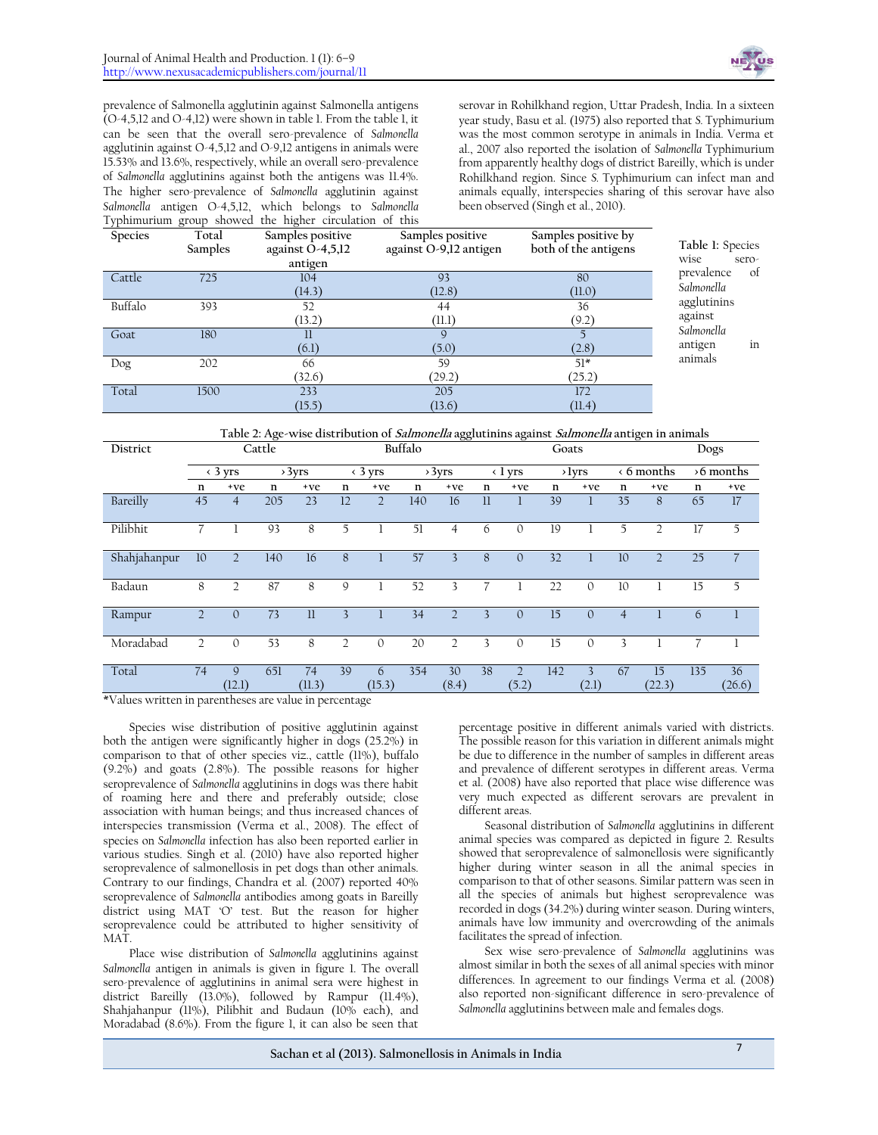

prevalence of Salmonella agglutinin against Salmonella antigens (O-4,5,12 and O-4,12) were shown in table 1. From the table 1, it can be seen that the overall sero-prevalence of *Salmonella* agglutinin against O-4,5,12 and O-9,12 antigens in animals were 15.53% and 13.6%, respectively, while an overall sero-prevalence of *Salmonella* agglutinins against both the antigens was 11.4%. The higher sero-prevalence of *Salmonella* agglutinin against *Salmonella* antigen O-4,5,12, which belongs to *Salmonella*  Typhimurium group showed the higher circulation of this

serovar in Rohilkhand region, Uttar Pradesh, India. In a sixteen year study, Basu et al. (1975) also reported that *S.* Typhimurium was the most common serotype in animals in India. Verma et al., 2007 also reported the isolation of *Salmonella* Typhimurium from apparently healthy dogs of district Bareilly, which is under Rohilkhand region. Since *S.* Typhimurium can infect man and animals equally, interspecies sharing of this serovar have also been observed (Singh et al., 2010).

| Species | $\cdot$<br>Total<br>Samples | $\cdot$<br>Samples positive<br>against O-4,5,12<br>antigen | Samples positive<br>against O-9,12 antigen | Samples positive by<br>both of the antigens | Table 1: Species<br>wise<br>sero- |
|---------|-----------------------------|------------------------------------------------------------|--------------------------------------------|---------------------------------------------|-----------------------------------|
| Cattle  | 725                         | 104<br>(14.3)                                              | 93<br>(12.8)                               | 80<br>(11.0)                                | of<br>prevalence<br>Salmonella    |
| Buffalo | 393                         | 52<br>(13.2)                                               | 44<br>(11.1)                               | 36<br>(9.2)                                 | agglutinins<br>against            |
| Goat    | 180                         | П<br>(6.1)                                                 | $\mathsf{Q}$<br>(5.0)                      | (2.8)                                       | Salmonella<br>in<br>antigen       |
| Dog     | 202                         | 66<br>(32.6)                                               | 59<br>(29.2)                               | $51*$<br>(25.2)                             | animals                           |
| Total   | 1500                        | 233<br>(15.5)                                              | 205<br>(13.6)                              | 172<br>(11.4)                               |                                   |

|  | Table 2: Age-wise distribution of Salmonella agglutinins against Salmonella antigen in animals |  |
|--|------------------------------------------------------------------------------------------------|--|
|  |                                                                                                |  |

| District          | Cattle          |                                      |                     |              | Buffalo        |                |     |                 |              | Goats                  |     |                 |                |                    |     | Dogs                 |  |                        |
|-------------------|-----------------|--------------------------------------|---------------------|--------------|----------------|----------------|-----|-----------------|--------------|------------------------|-----|-----------------|----------------|--------------------|-----|----------------------|--|------------------------|
|                   | $\langle$ 3 yrs |                                      |                     |              |                | >3yrs          |     | $\langle$ 3 yrs |              | >3yrs                  |     | $\langle$ 1 yrs |                | $\rightarrow$ lyrs |     | $\triangle$ 6 months |  | $\rightarrow$ 6 months |
|                   | n               | +ve                                  | n                   | +ve          | n              | $+ve$          | n   | +ve             | n            | $+ve$                  | n   | $+ve$           | n              | $+ve$              | n   | $+ve$                |  |                        |
| Bareilly          | 45              | $\overline{4}$                       | 205                 | 23           | 12             | $\overline{2}$ | 140 | 16              | $\mathbf{u}$ |                        | 39  |                 | 35             | 8                  | 65  | 17                   |  |                        |
| Pilibhit          |                 |                                      | 93                  | 8            | 5              |                | 51  | 4               | 6            | $\mathbf{0}$           | 19  |                 | 5              | $\overline{2}$     | 17  | 5                    |  |                        |
| Shahjahanpur      | 10              | $\overline{2}$                       | 140                 | 16           | 8              |                | 57  | 3               | 8            | $\mathbf{0}$           | 32  |                 | 10             | $\overline{2}$     | 25  | $\overline{7}$       |  |                        |
| Badaun            | 8               | $\overline{2}$                       | 87                  | 8            | 9              |                | 52  | 3               |              |                        | 22  | $\Omega$        | 10             |                    | 15  | 5                    |  |                        |
| Rampur            | $\overline{2}$  | $\mathbf{0}$                         | 73                  | $_{11}$      | 3              |                | 34  | $\overline{2}$  | 3            | $\Omega$               | 15  | $\Omega$        | $\overline{4}$ |                    | 6   |                      |  |                        |
| Moradabad         | $\overline{2}$  | $\mathbf{0}$                         | 53                  | 8            | $\overline{2}$ | $\mathbf{0}$   | 20  | $\overline{2}$  | 3            | $\Omega$               | 15  | $\Omega$        | 3              |                    |     |                      |  |                        |
| Total<br>$ux + 1$ | 74              | $\mathsf{Q}$<br>(12.1)<br>$\sim$ 1.1 | 651<br>$\mathbf{L}$ | 74<br>(11.3) | 39             | 6<br>(15.3)    | 354 | 30<br>(8.4)     | 38           | $\mathcal{D}$<br>(5.2) | 142 | 3<br>(2.1)      | 67             | 15<br>(22.3)       | 135 | 36<br>(26.6)         |  |                        |

\*Values written in parentheses are value in percentage

Species wise distribution of positive agglutinin against both the antigen were significantly higher in dogs (25.2%) in comparison to that of other species viz., cattle (11%), buffalo (9.2%) and goats (2.8%). The possible reasons for higher seroprevalence of *Salmonella* agglutinins in dogs was there habit of roaming here and there and preferably outside; close association with human beings; and thus increased chances of interspecies transmission (Verma et al., 2008). The effect of species on *Salmonella* infection has also been reported earlier in various studies. Singh et al. (2010) have also reported higher seroprevalence of salmonellosis in pet dogs than other animals. Contrary to our findings, Chandra et al. (2007) reported 40% seroprevalence of *Salmonella* antibodies among goats in Bareilly district using MAT 'O' test. But the reason for higher seroprevalence could be attributed to higher sensitivity of MAT.

Place wise distribution of *Salmonella* agglutinins against *Salmonella* antigen in animals is given in figure 1. The overall sero-prevalence of agglutinins in animal sera were highest in district Bareilly (13.0%), followed by Rampur (11.4%), Shahjahanpur (11%), Pilibhit and Budaun (10% each), and Moradabad (8.6%). From the figure 1, it can also be seen that

percentage positive in different animals varied with districts. The possible reason for this variation in different animals might be due to difference in the number of samples in different areas and prevalence of different serotypes in different areas. Verma et al. (2008) have also reported that place wise difference was very much expected as different serovars are prevalent in different areas.

Seasonal distribution of *Salmonella* agglutinins in different animal species was compared as depicted in figure 2. Results showed that seroprevalence of salmonellosis were significantly higher during winter season in all the animal species in comparison to that of other seasons. Similar pattern was seen in all the species of animals but highest seroprevalence was recorded in dogs (34.2%) during winter season. During winters, animals have low immunity and overcrowding of the animals facilitates the spread of infection.

Sex wise sero-prevalence of *Salmonella* agglutinins was almost similar in both the sexes of all animal species with minor differences. In agreement to our findings Verma et al*.* (2008) also reported non-significant difference in sero-prevalence of *Salmonella* agglutinins between male and females dogs.

**Sachan et al (2013). Salmonellosis in Animals in India** <sup>7</sup>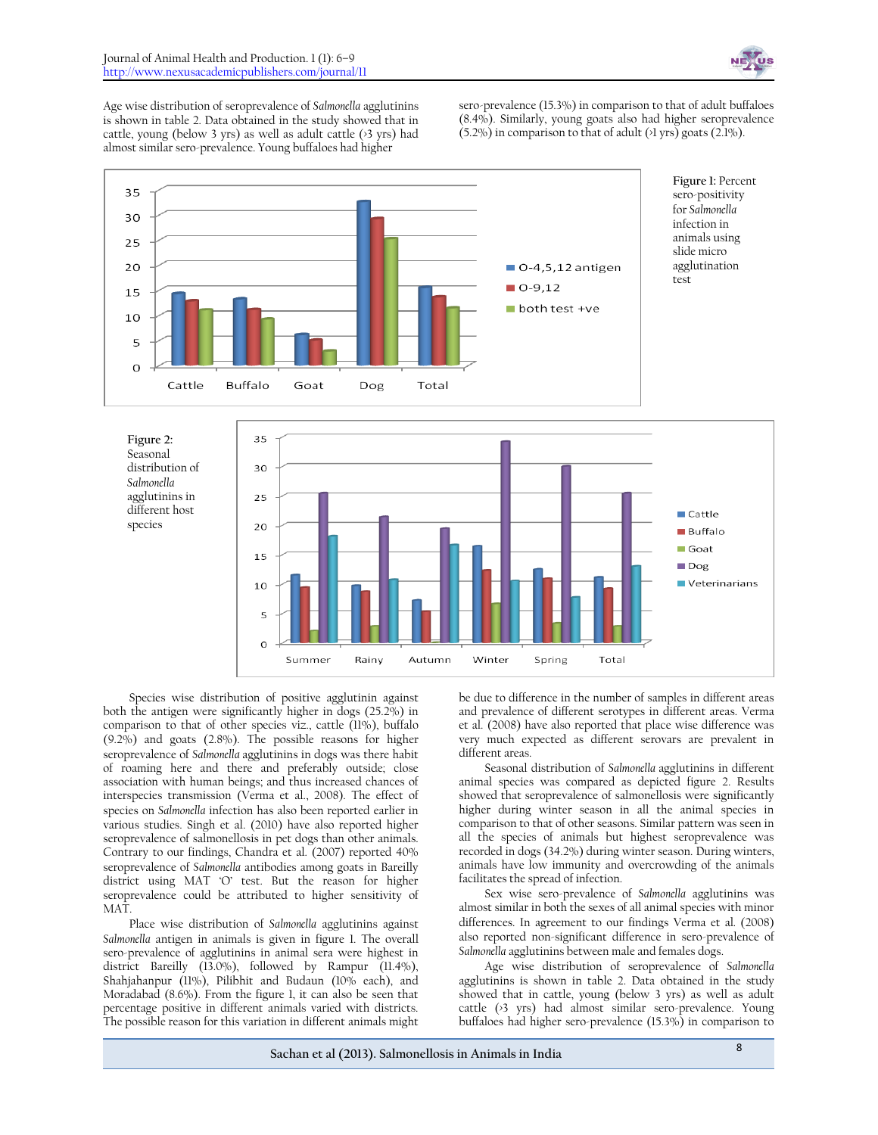

Age wise distribution of seroprevalence of *Salmonella* agglutinins is shown in table 2. Data obtained in the study showed that in cattle, young (below 3 yrs) as well as adult cattle (>3 yrs) had almost similar sero-prevalence. Young buffaloes had higher

sero-prevalence (15.3%) in comparison to that of adult buffaloes (8.4%). Similarly, young goats also had higher seroprevalence  $(5.2\%)$  in comparison to that of adult  $(>1 \text{ yrs})$  goats  $(2.1\%)$ .



Species wise distribution of positive agglutinin against both the antigen were significantly higher in dogs (25.2%) in comparison to that of other species viz., cattle (11%), buffalo (9.2%) and goats (2.8%). The possible reasons for higher seroprevalence of *Salmonella* agglutinins in dogs was there habit of roaming here and there and preferably outside; close association with human beings; and thus increased chances of interspecies transmission (Verma et al., 2008). The effect of species on *Salmonella* infection has also been reported earlier in various studies. Singh et al. (2010) have also reported higher seroprevalence of salmonellosis in pet dogs than other animals. Contrary to our findings, Chandra et al. (2007) reported 40% seroprevalence of *Salmonella* antibodies among goats in Bareilly district using MAT 'O' test. But the reason for higher seroprevalence could be attributed to higher sensitivity of MAT.

10  $\overline{5}$  $\Omega$ 

Summer

Rainy

Autumn

Winter

Spring

Place wise distribution of *Salmonella* agglutinins against *Salmonella* antigen in animals is given in figure 1. The overall sero-prevalence of agglutinins in animal sera were highest in district Bareilly (13.0%), followed by Rampur (11.4%), Shahjahanpur (11%), Pilibhit and Budaun (10% each), and Moradabad (8.6%). From the figure 1, it can also be seen that percentage positive in different animals varied with districts. The possible reason for this variation in different animals might

be due to difference in the number of samples in different areas and prevalence of different serotypes in different areas. Verma et al. (2008) have also reported that place wise difference was very much expected as different serovars are prevalent in different areas.

Total

Seasonal distribution of *Salmonella* agglutinins in different animal species was compared as depicted figure 2. Results showed that seroprevalence of salmonellosis were significantly higher during winter season in all the animal species in comparison to that of other seasons. Similar pattern was seen in all the species of animals but highest seroprevalence was recorded in dogs (34.2%) during winter season. During winters, animals have low immunity and overcrowding of the animals facilitates the spread of infection.

Sex wise sero-prevalence of *Salmonella* agglutinins was almost similar in both the sexes of all animal species with minor differences. In agreement to our findings Verma et al*.* (2008) also reported non-significant difference in sero-prevalence of *Salmonella* agglutinins between male and females dogs.

Age wise distribution of seroprevalence of *Salmonella* agglutinins is shown in table 2. Data obtained in the study showed that in cattle, young (below 3 yrs) as well as adult cattle (>3 yrs) had almost similar sero-prevalence. Young buffaloes had higher sero-prevalence (15.3%) in comparison to

Veterinarians